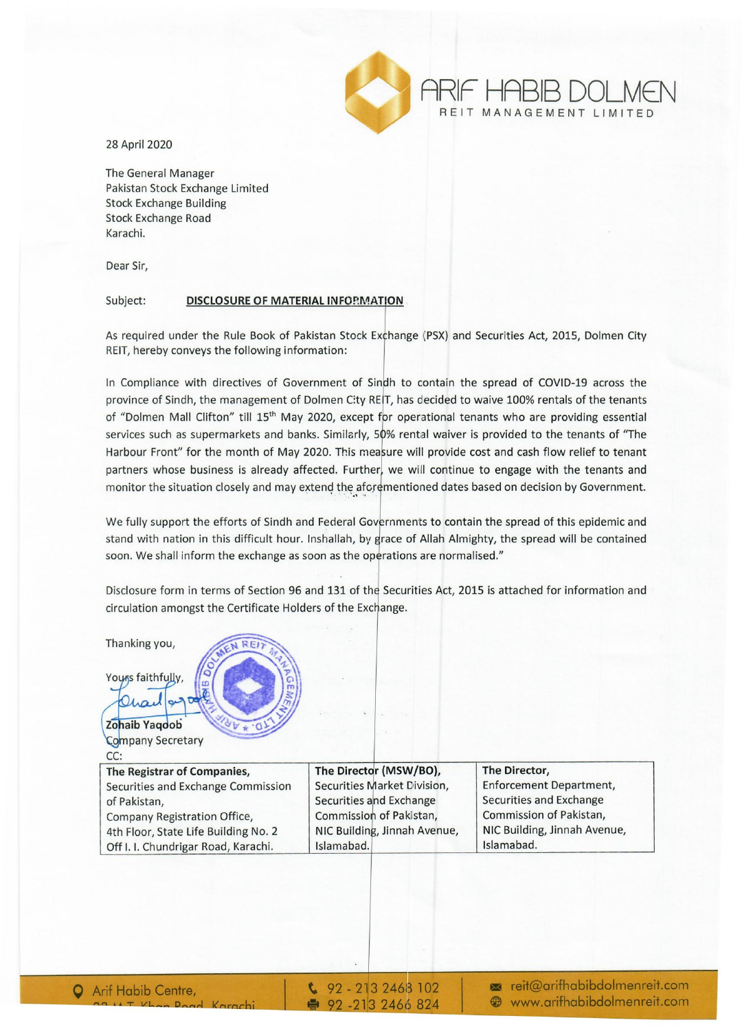

28 April 2020

The General Manager Pakistan Stock Exchange Limited Stock Exchange Building Stock Exchange Road Karachi.

Dear Sir,

## Subject: DISCLOSURE OF MATERIAL INFORMATION

As required under the Rule Book of Pakistan Stock Exchange (PSX) and Securities Act, 2015, Dolmen City REIT, hereby conveys the following information:

In Compliance with directives of Government of Sindh to contain the spread of COVID-19 across the province of Sindh, the management of Dolmen City RE IT, has decided to waive 100% rentals of the tenants of "Dolmen Mall Clifton" till 15<sup>th</sup> May 2020, except for operational tenants who are providing essential services such as supermarkets and banks. Similarly, 50% rental waiver is provided to the tenants of "The Harbour Front" for the month of May 2020. This measure will provide cost and cash flow relief to tenant partners whose business is already affected. Further, we will continue to engage with the tenants and monitor the situation closely and may extend the aforementioned dates based on decision by Government.

We fully support the efforts of Sindh and Federal Governments to contain the spread of this epidemic and stand with nation in this difficult hour. Inshallah, by grace of Allah Almighty, the spread will be contained soon. We shall inform the exchange as soon as the operations are normalised."

Disclosure form in terms of Section 96 and 131 of the Securities Act, 2015 is attached for information and circulation amongst the Certificate Holders of the Exchange.

| Thanking you,<br>A REIT<br>Yours faithfully,<br>Char |                              |                              |
|------------------------------------------------------|------------------------------|------------------------------|
| Zohaib Yaqoob<br>$\mathbf{v}$                        |                              |                              |
| <b>Company Secretary</b>                             |                              |                              |
| CC:                                                  |                              |                              |
| The Registrar of Companies,                          | The Director (MSW/BO),       | The Director,                |
| Securities and Exchange Commission                   | Securities Market Division,  | Enforcement Department,      |
| of Pakistan,                                         | Securities and Exchange      | Securities and Exchange      |
| Company Registration Office,                         | Commission of Pakistan,      | Commission of Pakistan,      |
| 4th Floor, State Life Building No. 2                 | NIC Building, Jinnah Avenue, | NIC Building, Jinnah Avenue, |
| Off I. I. Chundrigar Road, Karachi.                  | Islamabad.                   | Islamabad.                   |